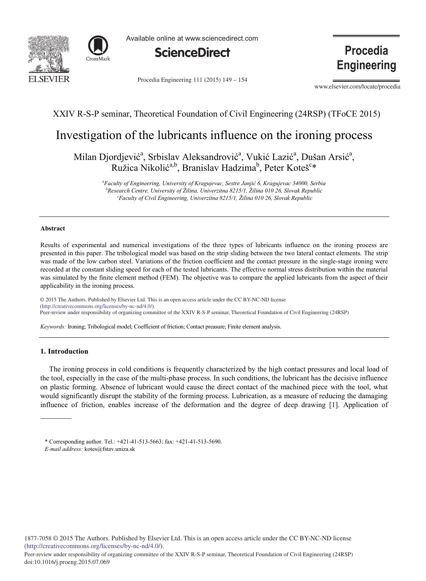



Available online at www.sciencedirect.com



Procedia Engineering 111 (2015) 149 - 154

**Procedia Engineering** 

www.elsevier.com/locate/procedia

# XXIV R-S-P seminar, Theoretical Foundation of Civil Engineering (24RSP) (TFoCE 2015)

# Investigation of the lubricants influence on the ironing process

Milan Djordjević<sup>a</sup>, Srbislav Aleksandrović<sup>a</sup>, Vukić Lazić<sup>a</sup>, Dušan Arsić<sup>a</sup>, Ružica Nikolić<sup>a,b</sup>, Branislav Hadzima<sup>b</sup>, Peter Koteš<sup>c</sup>\*

> *a Faculty of Engineering, University of Kragujevac, Sestre Janjić 6, Kragujevac 34000, Serbia b Research Centre, University of Žilina, Univerzitna 8215/1, Žilina 010 26, Slovak Republic c Faculty of Civil Engineering, Univerzitna 8215/1, Žilina 010 26, Slovak Republic*

#### **Abstract**

Results of experimental and numerical investigations of the three types of lubricants influence on the ironing process are presented in this paper. The tribological model was based on the strip sliding between the two lateral contact elements. The strip was made of the low carbon steel. Variations of the friction coefficient and the contact pressure in the single-stage ironing were recorded at the constant sliding speed for each of the tested lubricants. The effective normal stress distribution within the material was simulated by the finite element method (FEM). The objective was to compare the applied lubricants from the aspect of their applicability in the ironing process.

 $\odot$  2015 The Authors. Published by Elsevier Ltd. This is an open access article under the CC BY-NC-ND license Engineering (24RSP) Peer-review under responsibility of organizing committee of the XXIV R-S-P seminar, Theoretical Foundation of Civil Engineering (24RSP)(http://creativecommons.org/licenses/by-nc-nd/4.0/).

*Keywords:* Ironing; Tribological model; Coefficient of friction; Contact preasure; Finite element analysis.

# **1. Introduction**

The ironing process in cold conditions is frequently characterized by the high contact pressures and local load of the tool, especially in the case of the multi-phase process. In such conditions, the lubricant has the decisive influence on plastic forming. Absence of lubricant would cause the direct contact of the machined piece with the tool, what would significantly disrupt the stability of the forming process. Lubrication, as a measure of reducing the damaging influence of friction, enables increase of the deformation and the degree of deep drawing [1]. Application of

1877-7058 © 2015 The Authors. Published by Elsevier Ltd. This is an open access article under the CC BY-NC-ND license (http://creativecommons.org/licenses/by-nc-nd/4.0/).

<sup>\*</sup> Corresponding author. Tel.: +421-41-513-5663; fax: +421-41-513-5690. *E-mail address:* kotes@fstav.uniza.sk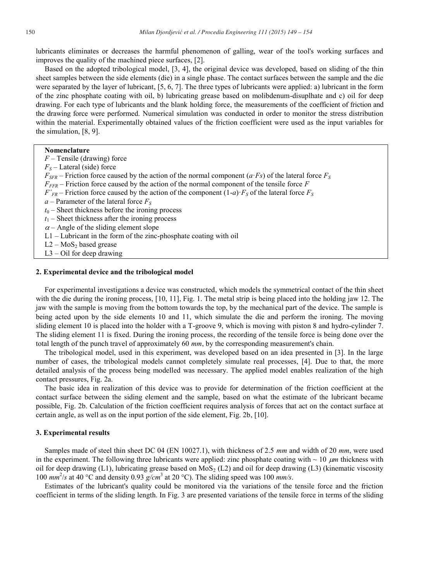lubricants eliminates or decreases the harmful phenomenon of galling, wear of the tool's working surfaces and improves the quality of the machined piece surfaces, [2].

Based on the adopted tribological model, [3, 4], the original device was developed, based on sliding of the thin sheet samples between the side elements (die) in a single phase. The contact surfaces between the sample and the die were separated by the layer of lubricant, [5, 6, 7]. The three types of lubricants were applied: a) lubricant in the form of the zinc phosphate coating with oil, b) lubricating grease based on molibdenum-disuplhate and c) oil for deep drawing. For each type of lubricants and the blank holding force, the measurements of the coefficient of friction and the drawing force were performed. Numerical simulation was conducted in order to monitor the stress distribution within the material. Experimentally obtained values of the friction coefficient were used as the input variables for the simulation, [8, 9].

**Nomenclature** *F* – Tensile (drawing) force  $F_S$  – Lateral (side) force  $F_{SFR}$  – Friction force caused by the action of the normal component (*a*·*Fs*) of the lateral force  $F_S$  $F_{FFR}$  – Friction force caused by the action of the normal component of the tensile force  $F$  $F'_{FR}$  – Friction force caused by the action of the component (1-*a*)  $F_S$  of the lateral force  $F_S$  $a$  – Parameter of the lateral force  $F<sub>S</sub>$  $t_0$  – Sheet thickness before the ironing process  $t_1$  – Sheet thickness after the ironing process  $\alpha$  – Angle of the sliding element slope L1 – Lubricant in the form of the zinc-phosphate coating with oil  $L2 - MoS<sub>2</sub>$  based grease L3 – Oil for deep drawing

#### **2. Experimental device and the tribological model**

For experimental investigations a device was constructed, which models the symmetrical contact of the thin sheet with the die during the ironing process, [10, 11], Fig. 1. The metal strip is being placed into the holding jaw 12. The jaw with the sample is moving from the bottom towards the top, by the mechanical part of the device. The sample is being acted upon by the side elements 10 and 11, which simulate the die and perform the ironing. The moving sliding element 10 is placed into the holder with a T-groove 9, which is moving with piston 8 and hydro-cylinder 7. The sliding element 11 is fixed. During the ironing process, the recording of the tensile force is being done over the total length of the punch travel of approximately 60 *mm*, by the corresponding measurement's chain.

The tribological model, used in this experiment, was developed based on an idea presented in [3]. In the large number of cases, the tribological models cannot completely simulate real processes, [4]. Due to that, the more detailed analysis of the process being modelled was necessary. The applied model enables realization of the high contact pressures, Fig. 2a.

The basic idea in realization of this device was to provide for determination of the friction coefficient at the contact surface between the siding element and the sample, based on what the estimate of the lubricant became possible, Fig. 2b. Calculation of the friction coefficient requires analysis of forces that act on the contact surface at certain angle, as well as on the input portion of the side element, Fig. 2b, [10].

#### **3. Experimental results**

Samples made of steel thin sheet DC 04 (EN 10027.1), with thickness of 2.5 *mm* and width of 20 *mm*, were used in the experiment. The following three lubricants were applied: zinc phosphate coating with  $\sim 10 \ \mu m$  thickness with oil for deep drawing (L1), lubricating grease based on MoS<sub>2</sub> (L2) and oil for deep drawing (L3) (kinematic viscosity 100  $mm^2$ /s at 40 °C and density 0.93  $g/cm^3$  at 20 °C). The sliding speed was 100  $mm/s$ .

Estimates of the lubricant's quality could be monitored via the variations of the tensile force and the friction coefficient in terms of the sliding length. In Fig. 3 are presented variations of the tensile force in terms of the sliding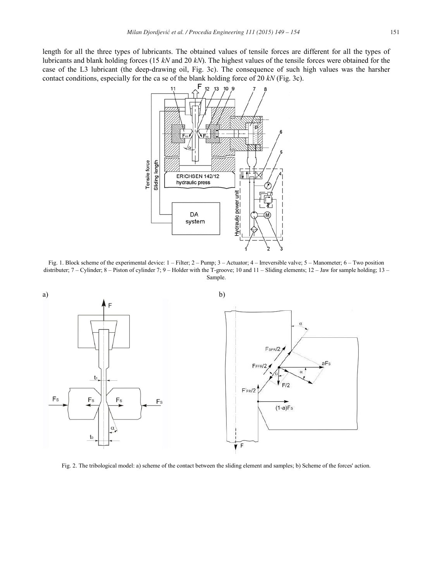length for all the three types of lubricants. The obtained values of tensile forces are different for all the types of lubricants and blank holding forces (15 *kN* and 20 *kN*). The highest values of the tensile forces were obtained for the case of the L3 lubricant (the deep-drawing oil, Fig. 3c). The consequence of such high values was the harsher contact conditions, especially for the ca se of the blank holding force of 20 *kN* (Fig. 3c).



Fig. 1. Block scheme of the experimental device: 1 – Filter; 2 – Pump; 3 – Actuator; 4 – Irreversible valve; 5 – Manometer; 6 – Two position distributer; 7 – Cylinder; 8 – Piston of cylinder 7; 9 – Holder with the T-groove; 10 and 11 – Sliding elements; 12 – Jaw for sample holding; 13 – Sample.



Fig. 2. The tribological model: a) scheme of the contact between the sliding element and samples; b) Scheme of the forces' action.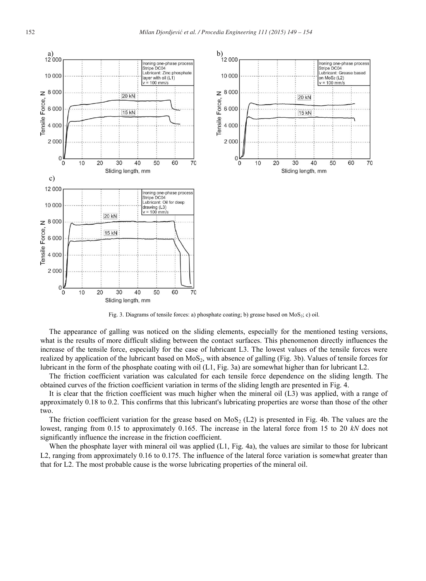

Fig. 3. Diagrams of tensile forces: a) phosphate coating; b) grease based on MoS<sub>2</sub>; c) oil.

The appearance of galling was noticed on the sliding elements, especially for the mentioned testing versions, what is the results of more difficult sliding between the contact surfaces. This phenomenon directly influences the increase of the tensile force, especially for the case of lubricant L3. The lowest values of the tensile forces were realized by application of the lubricant based on MoS<sub>2</sub>, with absence of galling (Fig. 3b). Values of tensile forces for lubricant in the form of the phosphate coating with oil (L1, Fig. 3a) are somewhat higher than for lubricant L2.

The friction coefficient variation was calculated for each tensile force dependence on the sliding length. The obtained curves of the friction coefficient variation in terms of the sliding length are presented in Fig. 4.

It is clear that the friction coefficient was much higher when the mineral oil (L3) was applied, with a range of approximately 0.18 to 0.2. This confirms that this lubricant's lubricating properties are worse than those of the other two.

The friction coefficient variation for the grease based on  $MOS<sub>2</sub>$  (L2) is presented in Fig. 4b. The values are the lowest, ranging from 0.15 to approximately 0.165. The increase in the lateral force from 15 to 20 *kN* does not significantly influence the increase in the friction coefficient.

When the phosphate layer with mineral oil was applied (L1, Fig. 4a), the values are similar to those for lubricant L2, ranging from approximately 0.16 to 0.175. The influence of the lateral force variation is somewhat greater than that for L2. The most probable cause is the worse lubricating properties of the mineral oil.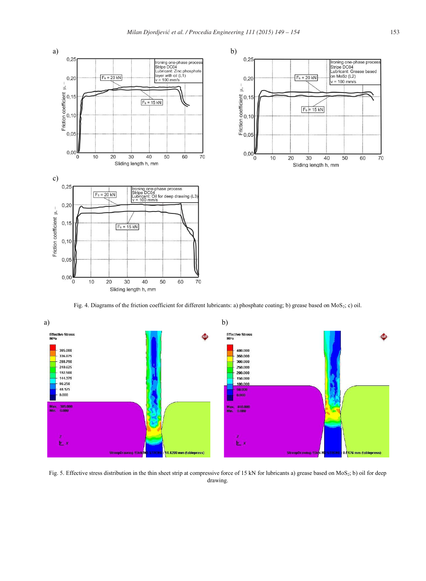

Fig. 4. Diagrams of the friction coefficient for different lubricants: a) phosphate coating; b) grease based on  $MoS<sub>2</sub>$ ; c) oil.



Fig. 5. Effective stress distribution in the thin sheet strip at compressive force of 15 kN for lubricants a) grease based on MoS2; b) oil for deep drawing.